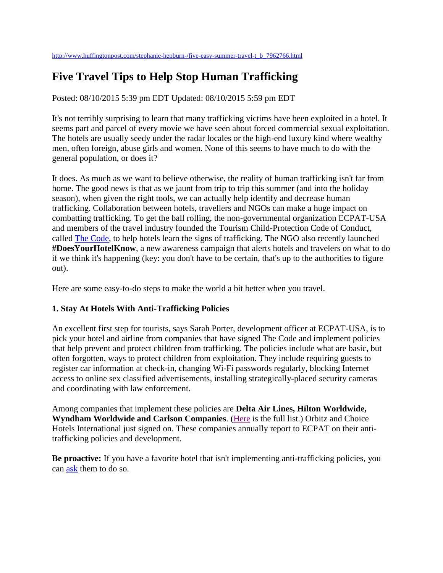# **Five Travel Tips to Help Stop Human Trafficking**

Posted: 08/10/2015 5:39 pm EDT Updated: 08/10/2015 5:59 pm EDT

It's not terribly surprising to learn that many trafficking victims have been exploited in a hotel. It seems part and parcel of every movie we have seen about forced commercial sexual exploitation. The hotels are usually seedy under the radar locales or the high-end luxury kind where wealthy men, often foreign, abuse girls and women. None of this seems to have much to do with the general population, or does it?

It does. As much as we want to believe otherwise, the reality of human trafficking isn't far from home. The good news is that as we jaunt from trip to trip this summer (and into the holiday season), when given the right tools, we can actually help identify and decrease human trafficking. Collaboration between hotels, travellers and NGOs can make a huge impact on combatting trafficking. To get the ball rolling, the non-governmental organization ECPAT-USA and members of the travel industry founded the Tourism Child-Protection Code of Conduct, called [The Code,](http://www.ecpatusa.org/code) to help hotels learn the signs of trafficking. The NGO also recently launched **#DoesYourHotelKnow**, a new awareness campaign that alerts hotels and travelers on what to do if we think it's happening (key: you don't have to be certain, that's up to the authorities to figure out).

Here are some easy-to-do steps to make the world a bit better when you travel.

#### **1. Stay At Hotels With Anti-Trafficking Policies**

An excellent first step for tourists, says Sarah Porter, development officer at ECPAT-USA, is to pick your hotel and airline from companies that have signed The Code and implement policies that help prevent and protect children from trafficking. The policies include what are basic, but often forgotten, ways to protect children from exploitation. They include requiring guests to register car information at check-in, changing Wi-Fi passwords regularly, blocking Internet access to online sex classified advertisements, installing strategically-placed security cameras and coordinating with law enforcement.

Among companies that implement these policies are **Delta Air Lines, Hilton Worldwide, Wyndham Worldwide and Carlson Companies**. [\(Here](https://d17my9ypnvqzep.cloudfront.net/35C5F64E-D137-45E8-A1E4-83D0CF1E97FB/0b263383-9e34-4da9-b236-f9a3a7c9b49c.pdf) is the full list.) Orbitz and Choice Hotels International just signed on. These companies annually report to ECPAT on their antitrafficking policies and development.

**Be proactive:** If you have a favorite hotel that isn't implementing anti-trafficking policies, you can [ask](https://d17my9ypnvqzep.cloudfront.net/35C5F64E-D137-45E8-A1E4-83D0CF1E97FB/480cacc1-5090-4710-b059-7c9de933e5d3.pdf) them to do so.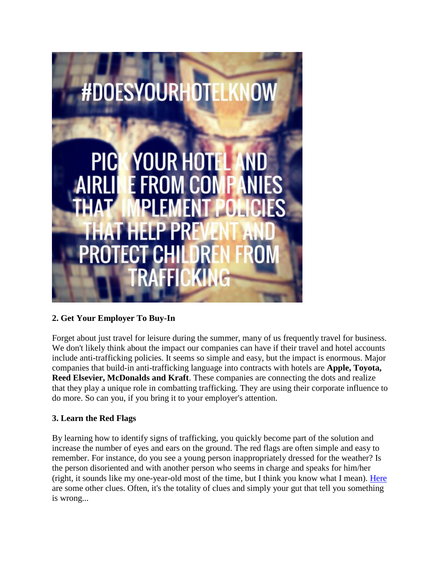

# **2. Get Your Employer To Buy-In**

Forget about just travel for leisure during the summer, many of us frequently travel for business. We don't likely think about the impact our companies can have if their travel and hotel accounts include anti-trafficking policies. It seems so simple and easy, but the impact is enormous. Major companies that build-in anti-trafficking language into contracts with hotels are **Apple, Toyota, Reed Elsevier, McDonalds and Kraft**. These companies are connecting the dots and realize that they play a unique role in combatting trafficking. They are using their corporate influence to do more. So can you, if you bring it to your employer's attention.

# **3. Learn the Red Flags**

By learning how to identify signs of trafficking, you quickly become part of the solution and increase the number of eyes and ears on the ground. The red flags are often simple and easy to remember. For instance, do you see a young person inappropriately dressed for the weather? Is the person disoriented and with another person who seems in charge and speaks for him/her (right, it sounds like my one-year-old most of the time, but I think you know what I mean). [Here](https://d17my9ypnvqzep.cloudfront.net/35C5F64E-D137-45E8-A1E4-83D0CF1E97FB/91b3f0c3-4b78-4cde-9886-b4e6f9a0118a.pdf) are some other clues. Often, it's the totality of clues and simply your gut that tell you something is wrong...